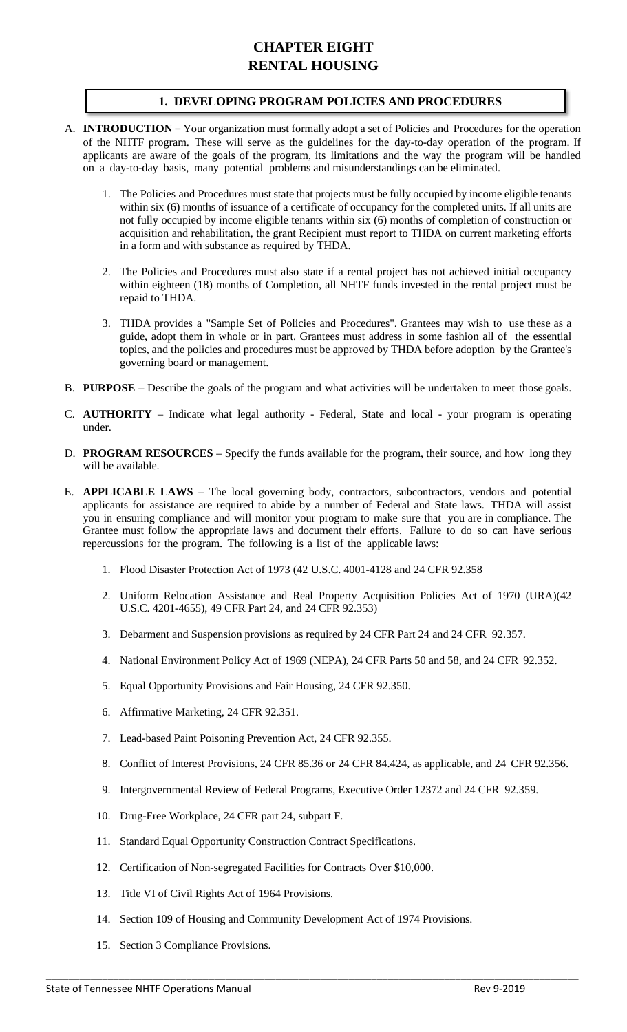# **CHAPTER EIGHT RENTAL HOUSING**

# **1. DEVELOPING PROGRAM POLICIES AND PROCEDURES**

- A. **INTRODUCTION** Your organization must formally adopt a set of Policies and Procedures for the operation of the NHTF program. These will serve as the guidelines for the day-to-day operation of the program. If applicants are aware of the goals of the program, its limitations and the way the program will be handled on a day-to-day basis, many potential problems and misunderstandings can be eliminated.
	- 1. The Policies and Procedures must state that projects must be fully occupied by income eligible tenants within six (6) months of issuance of a certificate of occupancy for the completed units. If all units are not fully occupied by income eligible tenants within six (6) months of completion of construction or acquisition and rehabilitation, the grant Recipient must report to THDA on current marketing efforts in a form and with substance as required by THDA.
	- 2. The Policies and Procedures must also state if a rental project has not achieved initial occupancy within eighteen (18) months of Completion, all NHTF funds invested in the rental project must be repaid to THDA.
	- 3. THDA provides a "Sample Set of Policies and Procedures". Grantees may wish to use these as a guide, adopt them in whole or in part. Grantees must address in some fashion all of the essential topics, and the policies and procedures must be approved by THDA before adoption by the Grantee's governing board or management.
- B. **PURPOSE** Describe the goals of the program and what activities will be undertaken to meet those goals.
- C. **AUTHORITY** Indicate what legal authority Federal, State and local your program is operating under.
- D. **PROGRAM RESOURCES** Specify the funds available for the program, their source, and how long they will be available.
- E. **APPLICABLE LAWS** The local governing body, contractors, subcontractors, vendors and potential applicants for assistance are required to abide by a number of Federal and State laws. THDA will assist you in ensuring compliance and will monitor your program to make sure that you are in compliance. The Grantee must follow the appropriate laws and document their efforts. Failure to do so can have serious repercussions for the program. The following is a list of the applicable laws:
	- 1. Flood Disaster Protection Act of 1973 (42 U.S.C. 4001-4128 and 24 CFR 92.358
	- 2. Uniform Relocation Assistance and Real Property Acquisition Policies Act of 1970 (URA)(42 U.S.C. 4201-4655), 49 CFR Part 24, and 24 CFR 92.353)
	- 3. Debarment and Suspension provisions as required by 24 CFR Part 24 and 24 CFR 92.357.
	- 4. National Environment Policy Act of 1969 (NEPA), 24 CFR Parts 50 and 58, and 24 CFR 92.352.
	- 5. Equal Opportunity Provisions and Fair Housing, 24 CFR 92.350.
	- 6. Affirmative Marketing, 24 CFR 92.351.
	- 7. Lead-based Paint Poisoning Prevention Act, 24 CFR 92.355.
	- 8. Conflict of Interest Provisions, 24 CFR 85.36 or 24 CFR 84.424, as applicable, and 24 CFR 92.356.
	- 9. Intergovernmental Review of Federal Programs, Executive Order 12372 and 24 CFR 92.359.
	- 10. Drug-Free Workplace, 24 CFR part 24, subpart F.
	- 11. Standard Equal Opportunity Construction Contract Specifications.
	- 12. Certification of Non-segregated Facilities for Contracts Over \$10,000.
	- 13. Title VI of Civil Rights Act of 1964 Provisions.
	- 14. Section 109 of Housing and Community Development Act of 1974 Provisions.

**\_\_\_\_\_\_\_\_\_\_\_\_\_\_\_\_\_\_\_\_\_\_\_\_\_\_\_\_\_\_\_\_\_\_\_\_\_\_\_\_\_\_\_\_\_\_\_\_\_\_\_\_\_\_\_\_\_\_\_\_\_\_\_\_\_\_\_\_\_\_\_\_\_\_\_\_\_\_\_\_\_\_\_\_\_\_\_\_\_\_\_\_\_\_\_**

15. Section 3 Compliance Provisions.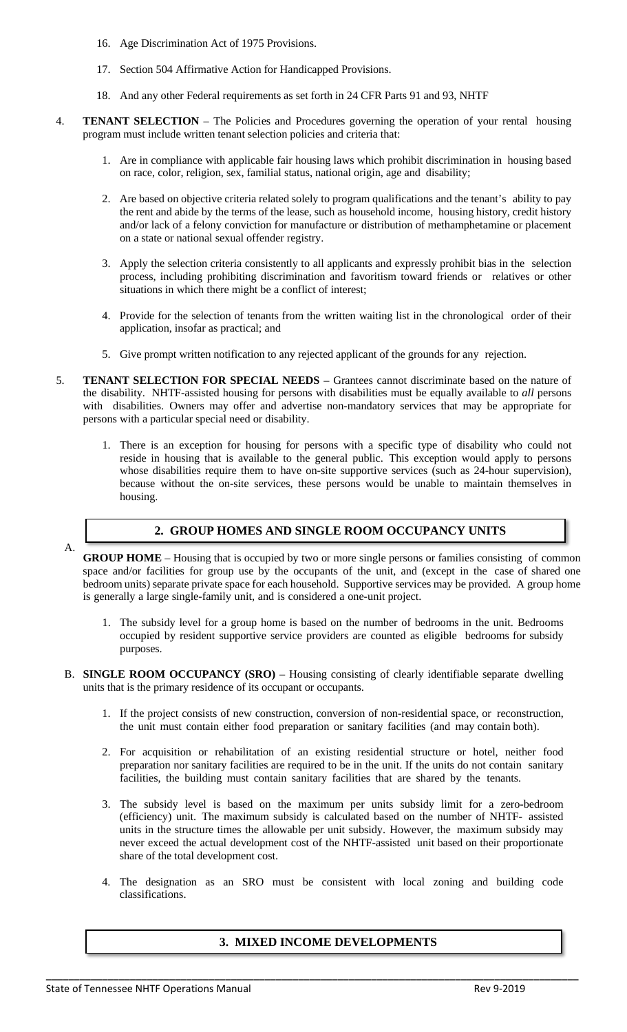- 16. Age Discrimination Act of 1975 Provisions.
- 17. Section 504 Affirmative Action for Handicapped Provisions.
- 18. And any other Federal requirements as set forth in 24 CFR Parts 91 and 93, NHTF
- 4. **TENANT SELECTION**  The Policies and Procedures governing the operation of your rental housing program must include written tenant selection policies and criteria that:
	- 1. Are in compliance with applicable fair housing laws which prohibit discrimination in housing based on race, color, religion, sex, familial status, national origin, age and disability;
	- 2. Are based on objective criteria related solely to program qualifications and the tenant's ability to pay the rent and abide by the terms of the lease, such as household income, housing history, credit history and/or lack of a felony conviction for manufacture or distribution of methamphetamine or placement on a state or national sexual offender registry.
	- 3. Apply the selection criteria consistently to all applicants and expressly prohibit bias in the selection process, including prohibiting discrimination and favoritism toward friends or relatives or other situations in which there might be a conflict of interest;
	- 4. Provide for the selection of tenants from the written waiting list in the chronological order of their application, insofar as practical; and
	- 5. Give prompt written notification to any rejected applicant of the grounds for any rejection.
- 5. **TENANT SELECTION FOR SPECIAL NEEDS** Grantees cannot discriminate based on the nature of the disability. NHTF-assisted housing for persons with disabilities must be equally available to *all* persons with disabilities. Owners may offer and advertise non-mandatory services that may be appropriate for persons with a particular special need or disability.
	- 1. There is an exception for housing for persons with a specific type of disability who could not reside in housing that is available to the general public. This exception would apply to persons whose disabilities require them to have on-site supportive services (such as 24-hour supervision), because without the on-site services, these persons would be unable to maintain themselves in housing.

# A.

#### **2. GROUP HOMES AND SINGLE ROOM OCCUPANCY UNITS**

**GROUP HOME** – Housing that is occupied by two or more single persons or families consisting of common space and/or facilities for group use by the occupants of the unit, and (except in the case of shared one bedroom units) separate private space for each household. Supportive services may be provided. A group home is generally a large single-family unit, and is considered a one-unit project.

- 1. The subsidy level for a group home is based on the number of bedrooms in the unit. Bedrooms occupied by resident supportive service providers are counted as eligible bedrooms for subsidy purposes.
- B. **SINGLE ROOM OCCUPANCY (SRO)** Housing consisting of clearly identifiable separate dwelling units that is the primary residence of its occupant or occupants.
	- 1. If the project consists of new construction, conversion of non-residential space, or reconstruction, the unit must contain either food preparation or sanitary facilities (and may contain both).
	- 2. For acquisition or rehabilitation of an existing residential structure or hotel, neither food preparation nor sanitary facilities are required to be in the unit. If the units do not contain sanitary facilities, the building must contain sanitary facilities that are shared by the tenants.
	- 3. The subsidy level is based on the maximum per units subsidy limit for a zero-bedroom (efficiency) unit. The maximum subsidy is calculated based on the number of NHTF- assisted units in the structure times the allowable per unit subsidy. However, the maximum subsidy may never exceed the actual development cost of the NHTF-assisted unit based on their proportionate share of the total development cost.
	- 4. The designation as an SRO must be consistent with local zoning and building code classifications.

# **3. MIXED INCOME DEVELOPMENTS**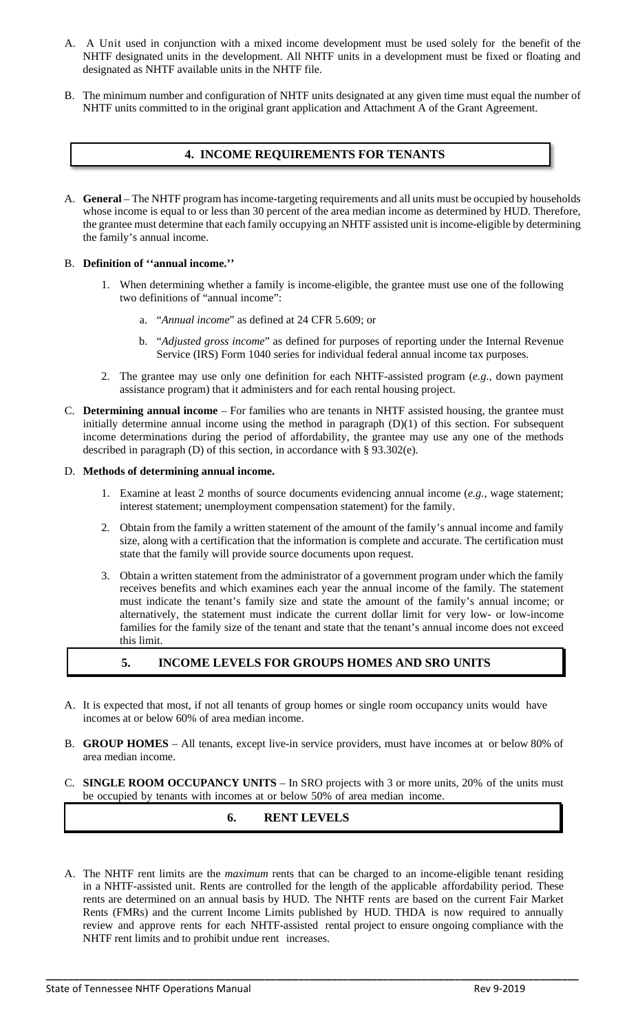- A. A Unit used in conjunction with a mixed income development must be used solely for the benefit of the NHTF designated units in the development. All NHTF units in a development must be fixed or floating and designated as NHTF available units in the NHTF file.
- B. The minimum number and configuration of NHTF units designated at any given time must equal the number of NHTF units committed to in the original grant application and Attachment A of the Grant Agreement.

# **4. INCOME REQUIREMENTS FOR TENANTS**

A. **General** – The NHTF program has income-targeting requirements and all units must be occupied by households whose income is equal to or less than 30 percent of the area median income as determined by HUD. Therefore, the grantee must determine that each family occupying an NHTF assisted unit is income-eligible by determining the family's annual income.

## B. **Definition of ''annual income.''**

- 1. When determining whether a family is income-eligible, the grantee must use one of the following two definitions of "annual income":
	- a. "*Annual income*" as defined at 24 CFR 5.609; or
	- b. "*Adjusted gross income*" as defined for purposes of reporting under the Internal Revenue Service (IRS) Form 1040 series for individual federal annual income tax purposes.
- 2. The grantee may use only one definition for each NHTF-assisted program (*e.g.,* down payment assistance program) that it administers and for each rental housing project.
- C. **Determining annual income** For families who are tenants in NHTF assisted housing, the grantee must initially determine annual income using the method in paragraph (D)(1) of this section. For subsequent income determinations during the period of affordability, the grantee may use any one of the methods described in paragraph (D) of this section, in accordance with § 93.302(e).

#### D. **Methods of determining annual income.**

- 1. Examine at least 2 months of source documents evidencing annual income (*e.g.,* wage statement; interest statement; unemployment compensation statement) for the family.
- 2. Obtain from the family a written statement of the amount of the family's annual income and family size, along with a certification that the information is complete and accurate. The certification must state that the family will provide source documents upon request.
- 3. Obtain a written statement from the administrator of a government program under which the family receives benefits and which examines each year the annual income of the family. The statement must indicate the tenant's family size and state the amount of the family's annual income; or alternatively, the statement must indicate the current dollar limit for very low- or low-income families for the family size of the tenant and state that the tenant's annual income does not exceed this limit.

# **5. INCOME LEVELS FOR GROUPS HOMES AND SRO UNITS**

- A. It is expected that most, if not all tenants of group homes or single room occupancy units would have incomes at or below 60% of area median income.
- B. **GROUP HOMES** All tenants, except live-in service providers, must have incomes at or below 80% of area median income.
- C. **SINGLE ROOM OCCUPANCY UNITS** In SRO projects with 3 or more units, 20% of the units must be occupied by tenants with incomes at or below 50% of area median income.

# **6. RENT LEVELS**

A. The NHTF rent limits are the *maximum* rents that can be charged to an income-eligible tenant residing in a NHTF-assisted unit. Rents are controlled for the length of the applicable affordability period. These rents are determined on an annual basis by HUD. The NHTF rents are based on the current Fair Market Rents (FMRs) and the current Income Limits published by HUD. THDA is now required to annually review and approve rents for each NHTF-assisted rental project to ensure ongoing compliance with the NHTF rent limits and to prohibit undue rent increases.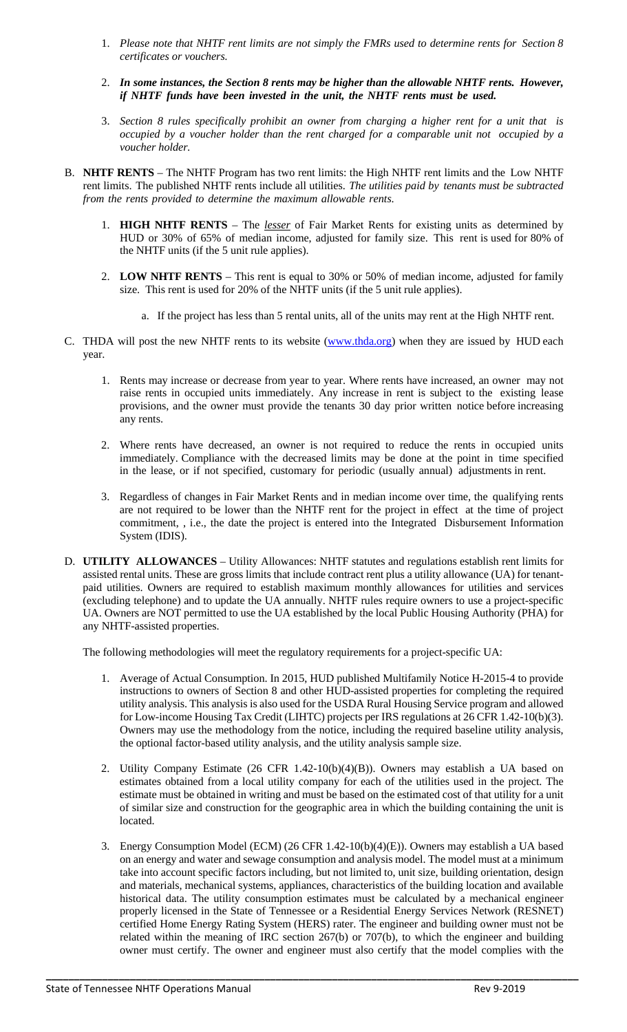- 1. *Please note that NHTF rent limits are not simply the FMRs used to determine rents for Section 8 certificates or vouchers.*
- 2. *In some instances, the Section 8 rents may be higher than the allowable NHTF rents. However, if NHTF funds have been invested in the unit, the NHTF rents must be used.*
- 3. *Section 8 rules specifically prohibit an owner from charging a higher rent for a unit that is occupied by a voucher holder than the rent charged for a comparable unit not occupied by a voucher holder.*
- B. **NHTF RENTS** The NHTF Program has two rent limits: the High NHTF rent limits and the Low NHTF rent limits. The published NHTF rents include all utilities. *The utilities paid by tenants must be subtracted from the rents provided to determine the maximum allowable rents*.
	- 1. **HIGH NHTF RENTS** The *lesser* of Fair Market Rents for existing units as determined by HUD or 30% of 65% of median income, adjusted for family size. This rent is used for 80% of the NHTF units (if the 5 unit rule applies).
	- 2. **LOW NHTF RENTS** This rent is equal to 30% or 50% of median income, adjusted for family size. This rent is used for 20% of the NHTF units (if the 5 unit rule applies).
		- a. If the project has less than 5 rental units, all of the units may rent at the High NHTF rent.
- C. THDA will post the new NHTF rents to its website [\(www.thda.org\)](http://www.thda.org/) when they are issued by HUD each year.
	- 1. Rents may increase or decrease from year to year. Where rents have increased, an owner may not raise rents in occupied units immediately. Any increase in rent is subject to the existing lease provisions, and the owner must provide the tenants 30 day prior written notice before increasing any rents.
	- 2. Where rents have decreased, an owner is not required to reduce the rents in occupied units immediately. Compliance with the decreased limits may be done at the point in time specified in the lease, or if not specified, customary for periodic (usually annual) adjustments in rent.
	- 3. Regardless of changes in Fair Market Rents and in median income over time, the qualifying rents are not required to be lower than the NHTF rent for the project in effect at the time of project commitment, , i.e., the date the project is entered into the Integrated Disbursement Information System (IDIS).
- D. **UTILITY ALLOWANCES** Utility Allowances: NHTF statutes and regulations establish rent limits for assisted rental units. These are gross limits that include contract rent plus a utility allowance (UA) for tenantpaid utilities. Owners are required to establish maximum monthly allowances for utilities and services (excluding telephone) and to update the UA annually. NHTF rules require owners to use a project-specific UA. Owners are NOT permitted to use the UA established by the local Public Housing Authority (PHA) for any NHTF-assisted properties.

The following methodologies will meet the regulatory requirements for a project-specific UA:

- 1. Average of Actual Consumption. In 2015, HUD published Multifamily Notice H-2015-4 to provide instructions to owners of Section 8 and other HUD-assisted properties for completing the required utility analysis. This analysis is also used for the USDA Rural Housing Service program and allowed for Low-income Housing Tax Credit (LIHTC) projects per IRS regulations at 26 CFR 1.42-10(b)(3). Owners may use the methodology from the notice, including the required baseline utility analysis, the optional factor-based utility analysis, and the utility analysis sample size.
- 2. Utility Company Estimate (26 CFR 1.42-10(b)(4)(B)). Owners may establish a UA based on estimates obtained from a local utility company for each of the utilities used in the project. The estimate must be obtained in writing and must be based on the estimated cost of that utility for a unit of similar size and construction for the geographic area in which the building containing the unit is located.
- 3. Energy Consumption Model (ECM) (26 CFR 1.42-10(b)(4)(E)). Owners may establish a UA based on an energy and water and sewage consumption and analysis model. The model must at a minimum take into account specific factors including, but not limited to, unit size, building orientation, design and materials, mechanical systems, appliances, characteristics of the building location and available historical data. The utility consumption estimates must be calculated by a mechanical engineer properly licensed in the State of Tennessee or a Residential Energy Services Network (RESNET) certified Home Energy Rating System (HERS) rater. The engineer and building owner must not be related within the meaning of IRC section 267(b) or 707(b), to which the engineer and building owner must certify. The owner and engineer must also certify that the model complies with the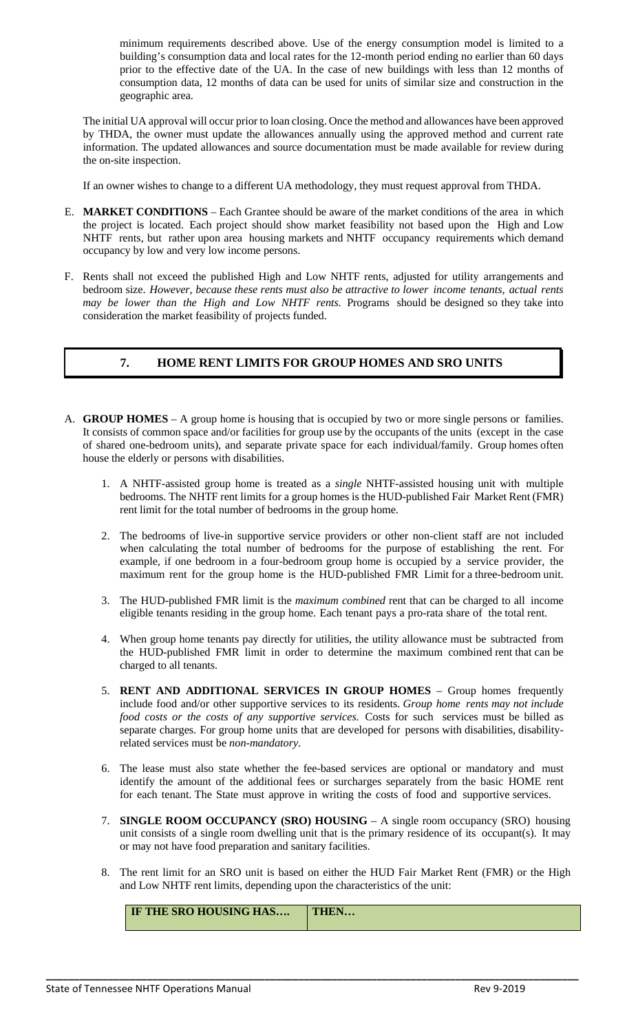minimum requirements described above. Use of the energy consumption model is limited to a building's consumption data and local rates for the 12-month period ending no earlier than 60 days prior to the effective date of the UA. In the case of new buildings with less than 12 months of consumption data, 12 months of data can be used for units of similar size and construction in the geographic area.

The initial UA approval will occur prior to loan closing. Once the method and allowances have been approved by THDA, the owner must update the allowances annually using the approved method and current rate information. The updated allowances and source documentation must be made available for review during the on-site inspection.

If an owner wishes to change to a different UA methodology, they must request approval from THDA.

- E. **MARKET CONDITIONS** Each Grantee should be aware of the market conditions of the area in which the project is located. Each project should show market feasibility not based upon the High and Low NHTF rents, but rather upon area housing markets and NHTF occupancy requirements which demand occupancy by low and very low income persons.
- F. Rents shall not exceed the published High and Low NHTF rents, adjusted for utility arrangements and bedroom size. *However, because these rents must also be attractive to lower income tenants, actual rents may be lower than the High and Low NHTF rents.* Programs should be designed so they take into consideration the market feasibility of projects funded.

# **7. HOME RENT LIMITS FOR GROUP HOMES AND SRO UNITS**

- A. **GROUP HOMES** A group home is housing that is occupied by two or more single persons or families. It consists of common space and/or facilities for group use by the occupants of the units (except in the case of shared one-bedroom units), and separate private space for each individual/family. Group homes often house the elderly or persons with disabilities.
	- 1. A NHTF-assisted group home is treated as a *single* NHTF-assisted housing unit with multiple bedrooms. The NHTF rent limits for a group homes is the HUD-published Fair Market Rent (FMR) rent limit for the total number of bedrooms in the group home.
	- 2. The bedrooms of live-in supportive service providers or other non-client staff are not included when calculating the total number of bedrooms for the purpose of establishing the rent. For example, if one bedroom in a four-bedroom group home is occupied by a service provider, the maximum rent for the group home is the HUD-published FMR Limit for a three-bedroom unit.
	- 3. The HUD-published FMR limit is the *maximum combined* rent that can be charged to all income eligible tenants residing in the group home. Each tenant pays a pro-rata share of the total rent.
	- 4. When group home tenants pay directly for utilities, the utility allowance must be subtracted from the HUD-published FMR limit in order to determine the maximum combined rent that can be charged to all tenants.
	- 5. **RENT AND ADDITIONAL SERVICES IN GROUP HOMES** Group homes frequently include food and/or other supportive services to its residents. *Group home rents may not include food costs or the costs of any supportive services.* Costs for such services must be billed as separate charges. For group home units that are developed for persons with disabilities, disabilityrelated services must be *non-mandatory*.
	- 6. The lease must also state whether the fee-based services are optional or mandatory and must identify the amount of the additional fees or surcharges separately from the basic HOME rent for each tenant. The State must approve in writing the costs of food and supportive services.
	- 7. **SINGLE ROOM OCCUPANCY (SRO) HOUSING** A single room occupancy (SRO) housing unit consists of a single room dwelling unit that is the primary residence of its occupant(s). It may or may not have food preparation and sanitary facilities.
	- 8. The rent limit for an SRO unit is based on either the HUD Fair Market Rent (FMR) or the High and Low NHTF rent limits, depending upon the characteristics of the unit:

| IF THE SRO HOUSING HAS | THEN |
|------------------------|------|
|------------------------|------|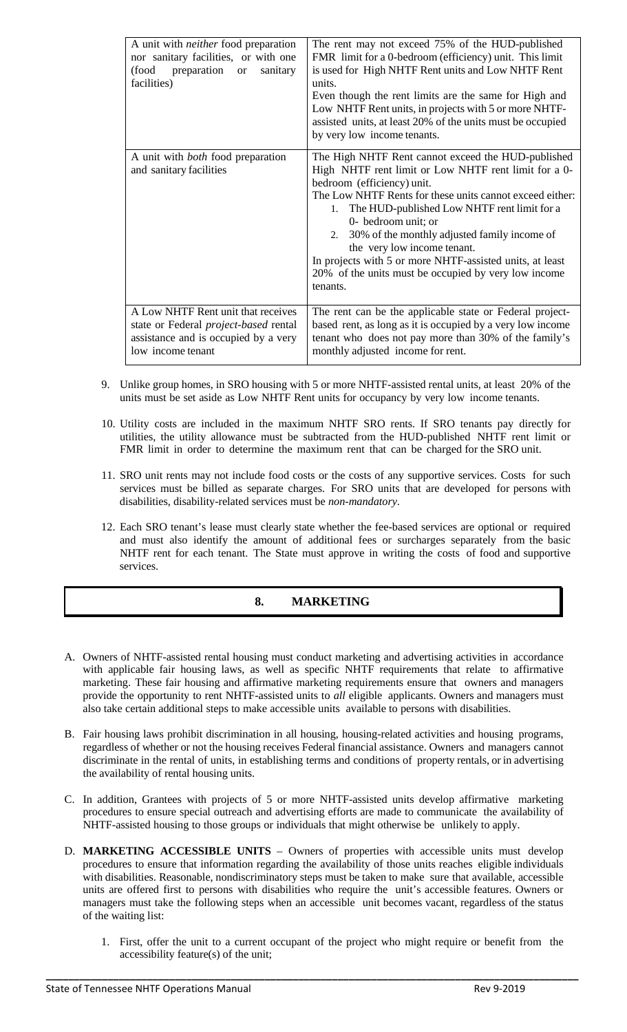| A unit with <i>neither</i> food preparation<br>nor sanitary facilities, or with one<br>preparation<br>(food<br>sanitary<br><b>or</b><br>facilities) | The rent may not exceed 75% of the HUD-published<br>FMR limit for a 0-bedroom (efficiency) unit. This limit<br>is used for High NHTF Rent units and Low NHTF Rent<br>units.<br>Even though the rent limits are the same for High and<br>Low NHTF Rent units, in projects with 5 or more NHTF-<br>assisted units, at least 20% of the units must be occupied<br>by very low income tenants.                                                                                                         |
|-----------------------------------------------------------------------------------------------------------------------------------------------------|----------------------------------------------------------------------------------------------------------------------------------------------------------------------------------------------------------------------------------------------------------------------------------------------------------------------------------------------------------------------------------------------------------------------------------------------------------------------------------------------------|
| A unit with <i>both</i> food preparation<br>and sanitary facilities                                                                                 | The High NHTF Rent cannot exceed the HUD-published<br>High NHTF rent limit or Low NHTF rent limit for a 0-<br>bedroom (efficiency) unit.<br>The Low NHTF Rents for these units cannot exceed either:<br>The HUD-published Low NHTF rent limit for a<br>1.<br>0- bedroom unit; or<br>2. 30% of the monthly adjusted family income of<br>the very low income tenant.<br>In projects with 5 or more NHTF-assisted units, at least<br>20% of the units must be occupied by very low income<br>tenants. |
| A Low NHTF Rent unit that receives<br>state or Federal <i>project-based</i> rental<br>assistance and is occupied by a very<br>low income tenant     | The rent can be the applicable state or Federal project-<br>based rent, as long as it is occupied by a very low income<br>tenant who does not pay more than 30% of the family's<br>monthly adjusted income for rent.                                                                                                                                                                                                                                                                               |

- 9. Unlike group homes, in SRO housing with 5 or more NHTF-assisted rental units, at least 20% of the units must be set aside as Low NHTF Rent units for occupancy by very low income tenants.
- 10. Utility costs are included in the maximum NHTF SRO rents. If SRO tenants pay directly for utilities, the utility allowance must be subtracted from the HUD-published NHTF rent limit or FMR limit in order to determine the maximum rent that can be charged for the SRO unit.
- 11. SRO unit rents may not include food costs or the costs of any supportive services. Costs for such services must be billed as separate charges. For SRO units that are developed for persons with disabilities, disability-related services must be *non-mandatory*.
- 12. Each SRO tenant's lease must clearly state whether the fee-based services are optional or required and must also identify the amount of additional fees or surcharges separately from the basic NHTF rent for each tenant. The State must approve in writing the costs of food and supportive services.

# **8. MARKETING**

- A. Owners of NHTF-assisted rental housing must conduct marketing and advertising activities in accordance with applicable fair housing laws, as well as specific NHTF requirements that relate to affirmative marketing. These fair housing and affirmative marketing requirements ensure that owners and managers provide the opportunity to rent NHTF-assisted units to *all* eligible applicants. Owners and managers must also take certain additional steps to make accessible units available to persons with disabilities.
- B. Fair housing laws prohibit discrimination in all housing, housing-related activities and housing programs, regardless of whether or not the housing receives Federal financial assistance. Owners and managers cannot discriminate in the rental of units, in establishing terms and conditions of property rentals, or in advertising the availability of rental housing units.
- C. In addition, Grantees with projects of 5 or more NHTF-assisted units develop affirmative marketing procedures to ensure special outreach and advertising efforts are made to communicate the availability of NHTF-assisted housing to those groups or individuals that might otherwise be unlikely to apply.
- D. **MARKETING ACCESSIBLE UNITS** Owners of properties with accessible units must develop procedures to ensure that information regarding the availability of those units reaches eligible individuals with disabilities. Reasonable, nondiscriminatory steps must be taken to make sure that available, accessible units are offered first to persons with disabilities who require the unit's accessible features. Owners or managers must take the following steps when an accessible unit becomes vacant, regardless of the status of the waiting list:

**\_\_\_\_\_\_\_\_\_\_\_\_\_\_\_\_\_\_\_\_\_\_\_\_\_\_\_\_\_\_\_\_\_\_\_\_\_\_\_\_\_\_\_\_\_\_\_\_\_\_\_\_\_\_\_\_\_\_\_\_\_\_\_\_\_\_\_\_\_\_\_\_\_\_\_\_\_\_\_\_\_\_\_\_\_\_\_\_\_\_\_\_\_\_\_**

1. First, offer the unit to a current occupant of the project who might require or benefit from the accessibility feature(s) of the unit;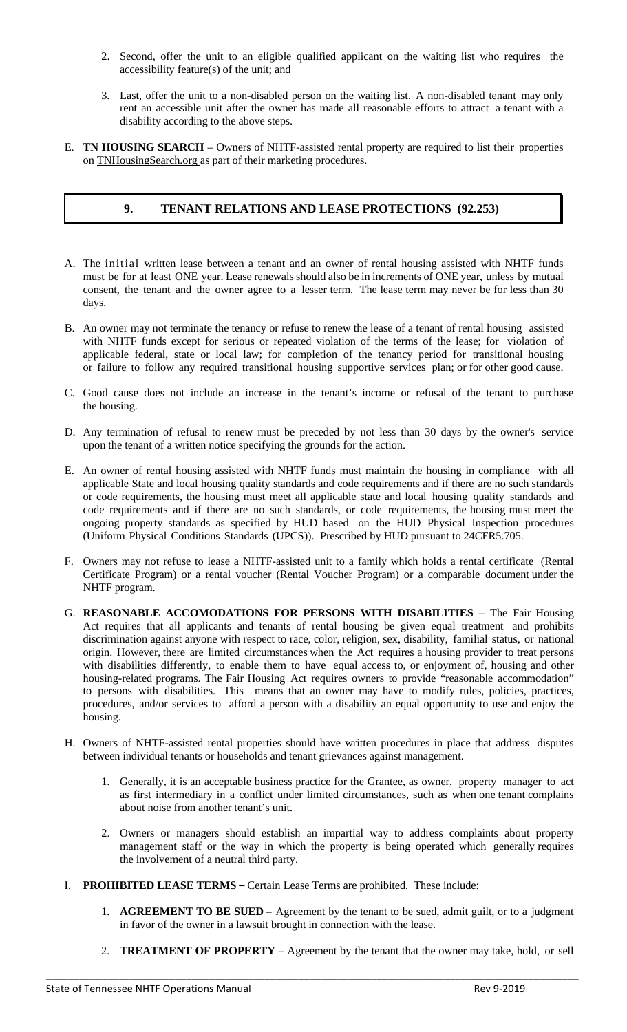- 2. Second, offer the unit to an eligible qualified applicant on the waiting list who requires the accessibility feature(s) of the unit; and
- 3. Last, offer the unit to a non-disabled person on the waiting list. A non-disabled tenant may only rent an accessible unit after the owner has made all reasonable efforts to attract a tenant with a disability according to the above steps.
- E. **TN HOUSING SEARCH** Owners of NHTF-assisted rental property are required to list their properties on TNHousingSearch.org as part of their marketing procedures.

## **9. TENANT RELATIONS AND LEASE PROTECTIONS (92.253)**

- A. The initial written lease between a tenant and an owner of rental housing assisted with NHTF funds must be for at least ONE year. Lease renewals should also be in increments of ONE year, unless by mutual consent, the tenant and the owner agree to a lesser term. The lease term may never be for less than 30 days.
- B. An owner may not terminate the tenancy or refuse to renew the lease of a tenant of rental housing assisted with NHTF funds except for serious or repeated violation of the terms of the lease; for violation of applicable federal, state or local law; for completion of the tenancy period for transitional housing or failure to follow any required transitional housing supportive services plan; or for other good cause.
- C. Good cause does not include an increase in the tenant's income or refusal of the tenant to purchase the housing.
- D. Any termination of refusal to renew must be preceded by not less than 30 days by the owner's service upon the tenant of a written notice specifying the grounds for the action.
- E. An owner of rental housing assisted with NHTF funds must maintain the housing in compliance with all applicable State and local housing quality standards and code requirements and if there are no such standards or code requirements, the housing must meet all applicable state and local housing quality standards and code requirements and if there are no such standards, or code requirements, the housing must meet the ongoing property standards as specified by HUD based on the HUD Physical Inspection procedures (Uniform Physical Conditions Standards (UPCS)). Prescribed by HUD pursuant to 24CFR5.705.
- F. Owners may not refuse to lease a NHTF-assisted unit to a family which holds a rental certificate (Rental Certificate Program) or a rental voucher (Rental Voucher Program) or a comparable document under the NHTF program.
- G. **REASONABLE ACCOMODATIONS FOR PERSONS WITH DISABILITIES** The Fair Housing Act requires that all applicants and tenants of rental housing be given equal treatment and prohibits discrimination against anyone with respect to race, color, religion, sex, disability, familial status, or national origin. However, there are limited circumstances when the Act requires a housing provider to treat persons with disabilities differently, to enable them to have equal access to, or enjoyment of, housing and other housing-related programs. The Fair Housing Act requires owners to provide "reasonable accommodation" to persons with disabilities. This means that an owner may have to modify rules, policies, practices, procedures, and/or services to afford a person with a disability an equal opportunity to use and enjoy the housing.
- H. Owners of NHTF-assisted rental properties should have written procedures in place that address disputes between individual tenants or households and tenant grievances against management.
	- 1. Generally, it is an acceptable business practice for the Grantee, as owner, property manager to act as first intermediary in a conflict under limited circumstances, such as when one tenant complains about noise from another tenant's unit.
	- 2. Owners or managers should establish an impartial way to address complaints about property management staff or the way in which the property is being operated which generally requires the involvement of a neutral third party.
- I. **PROHIBITED LEASE TERMS**  Certain Lease Terms are prohibited. These include:
	- 1. **AGREEMENT TO BE SUED** Agreement by the tenant to be sued, admit guilt, or to a judgment in favor of the owner in a lawsuit brought in connection with the lease.
	- 2. **TREATMENT OF PROPERTY** Agreement by the tenant that the owner may take, hold, or sell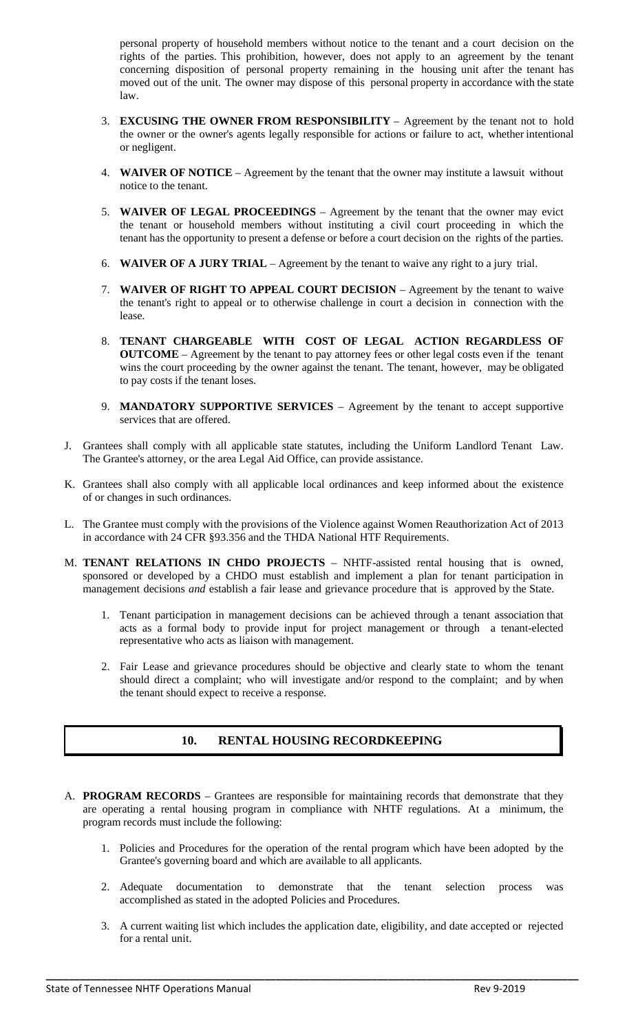personal property of household members without notice to the tenant and a court decision on the rights of the parties. This prohibition, however, does not apply to an agreement by the tenant concerning disposition of personal property remaining in the housing unit after the tenant has moved out of the unit. The owner may dispose of this personal property in accordance with the state law.

- 3. **EXCUSING THE OWNER FROM RESPONSIBILITY** Agreement by the tenant not to hold the owner or the owner's agents legally responsible for actions or failure to act, whether intentional or negligent.
- 4. **WAIVER OF NOTICE** Agreement by the tenant that the owner may institute a lawsuit without notice to the tenant.
- 5. **WAIVER OF LEGAL PROCEEDINGS** Agreement by the tenant that the owner may evict the tenant or household members without instituting a civil court proceeding in which the tenant has the opportunity to present a defense or before a court decision on the rights of the parties.
- 6. **WAIVER OF A JURY TRIAL** Agreement by the tenant to waive any right to a jury trial.
- 7. **WAIVER OF RIGHT TO APPEAL COURT DECISION** Agreement by the tenant to waive the tenant's right to appeal or to otherwise challenge in court a decision in connection with the lease.
- 8. **TENANT CHARGEABLE WITH COST OF LEGAL ACTION REGARDLESS OF OUTCOME** – Agreement by the tenant to pay attorney fees or other legal costs even if the tenant wins the court proceeding by the owner against the tenant. The tenant, however, may be obligated to pay costs if the tenant loses.
- 9. **MANDATORY SUPPORTIVE SERVICES** Agreement by the tenant to accept supportive services that are offered.
- J. Grantees shall comply with all applicable state statutes, including the Uniform Landlord Tenant Law. The Grantee's attorney, or the area Legal Aid Office, can provide assistance.
- K. Grantees shall also comply with all applicable local ordinances and keep informed about the existence of or changes in such ordinances.
- L. The Grantee must comply with the provisions of the Violence against Women Reauthorization Act of 2013 in accordance with 24 CFR §93.356 and the THDA National HTF Requirements.
- M. **TENANT RELATIONS IN CHDO PROJECTS** NHTF-assisted rental housing that is owned, sponsored or developed by a CHDO must establish and implement a plan for tenant participation in management decisions *and* establish a fair lease and grievance procedure that is approved by the State.
	- 1. Tenant participation in management decisions can be achieved through a tenant association that acts as a formal body to provide input for project management or through a tenant-elected representative who acts as liaison with management.
	- 2. Fair Lease and grievance procedures should be objective and clearly state to whom the tenant should direct a complaint; who will investigate and/or respond to the complaint; and by when the tenant should expect to receive a response.

# **10. RENTAL HOUSING RECORDKEEPING**

- A. **PROGRAM RECORDS** Grantees are responsible for maintaining records that demonstrate that they are operating a rental housing program in compliance with NHTF regulations. At a minimum, the program records must include the following:
	- 1. Policies and Procedures for the operation of the rental program which have been adopted by the Grantee's governing board and which are available to all applicants.
	- 2. Adequate documentation to demonstrate that the tenant selection process was accomplished as stated in the adopted Policies and Procedures.
	- 3. A current waiting list which includes the application date, eligibility, and date accepted or rejected for a rental unit.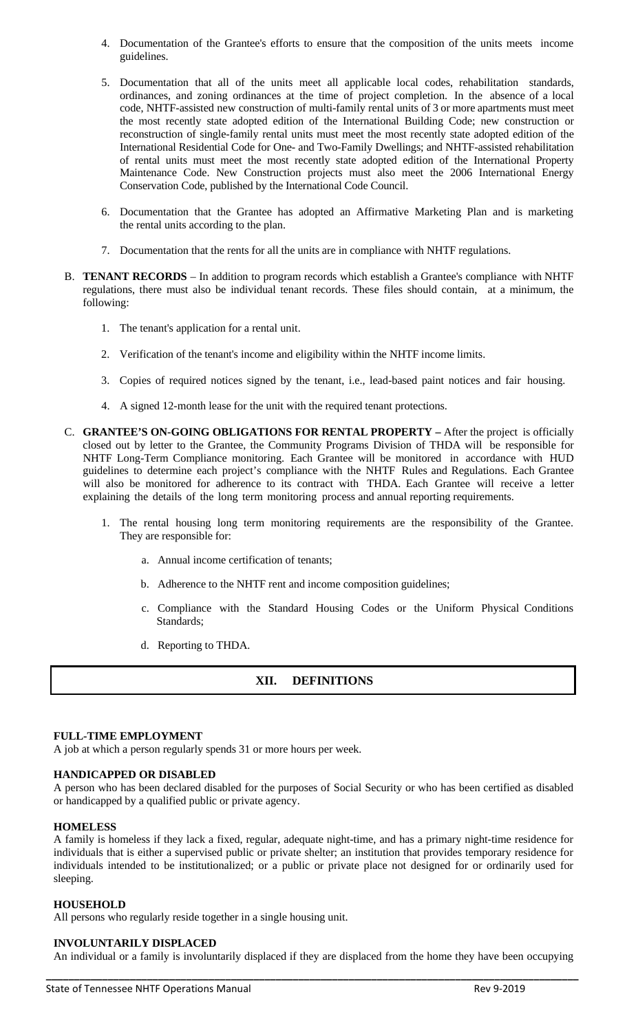- 4. Documentation of the Grantee's efforts to ensure that the composition of the units meets income guidelines.
- 5. Documentation that all of the units meet all applicable local codes, rehabilitation standards, ordinances, and zoning ordinances at the time of project completion. In the absence of a local code, NHTF-assisted new construction of multi-family rental units of 3 or more apartments must meet the most recently state adopted edition of the International Building Code; new construction or reconstruction of single-family rental units must meet the most recently state adopted edition of the International Residential Code for One- and Two-Family Dwellings; and NHTF-assisted rehabilitation of rental units must meet the most recently state adopted edition of the International Property Maintenance Code. New Construction projects must also meet the 2006 International Energy Conservation Code, published by the International Code Council.
- 6. Documentation that the Grantee has adopted an Affirmative Marketing Plan and is marketing the rental units according to the plan.
- 7. Documentation that the rents for all the units are in compliance with NHTF regulations.
- B. **TENANT RECORDS** In addition to program records which establish a Grantee's compliance with NHTF regulations, there must also be individual tenant records. These files should contain, at a minimum, the following:
	- 1. The tenant's application for a rental unit.
	- 2. Verification of the tenant's income and eligibility within the NHTF income limits.
	- 3. Copies of required notices signed by the tenant, i.e., lead-based paint notices and fair housing.
	- 4. A signed 12-month lease for the unit with the required tenant protections.
- C. **GRANTEE'S ON-GOING OBLIGATIONS FOR RENTAL PROPERTY –** After the project is officially closed out by letter to the Grantee, the Community Programs Division of THDA will be responsible for NHTF Long-Term Compliance monitoring. Each Grantee will be monitored in accordance with HUD guidelines to determine each project's compliance with the NHTF Rules and Regulations. Each Grantee will also be monitored for adherence to its contract with THDA. Each Grantee will receive a letter explaining the details of the long term monitoring process and annual reporting requirements.
	- 1. The rental housing long term monitoring requirements are the responsibility of the Grantee. They are responsible for:
		- a. Annual income certification of tenants;
		- b. Adherence to the NHTF rent and income composition guidelines;
		- c. Compliance with the Standard Housing Codes or the Uniform Physical Conditions Standards;
		- d. Reporting to THDA.

# **XII. DEFINITIONS**

## **FULL-TIME EMPLOYMENT**

A job at which a person regularly spends 31 or more hours per week.

#### **HANDICAPPED OR DISABLED**

A person who has been declared disabled for the purposes of Social Security or who has been certified as disabled or handicapped by a qualified public or private agency.

#### **HOMELESS**

A family is homeless if they lack a fixed, regular, adequate night-time, and has a primary night-time residence for individuals that is either a supervised public or private shelter; an institution that provides temporary residence for individuals intended to be institutionalized; or a public or private place not designed for or ordinarily used for sleeping.

#### **HOUSEHOLD**

All persons who regularly reside together in a single housing unit.

#### **INVOLUNTARILY DISPLACED**

**\_\_\_\_\_\_\_\_\_\_\_\_\_\_\_\_\_\_\_\_\_\_\_\_\_\_\_\_\_\_\_\_\_\_\_\_\_\_\_\_\_\_\_\_\_\_\_\_\_\_\_\_\_\_\_\_\_\_\_\_\_\_\_\_\_\_\_\_\_\_\_\_\_\_\_\_\_\_\_\_\_\_\_\_\_\_\_\_\_\_\_\_\_\_\_** An individual or a family is involuntarily displaced if they are displaced from the home they have been occupying